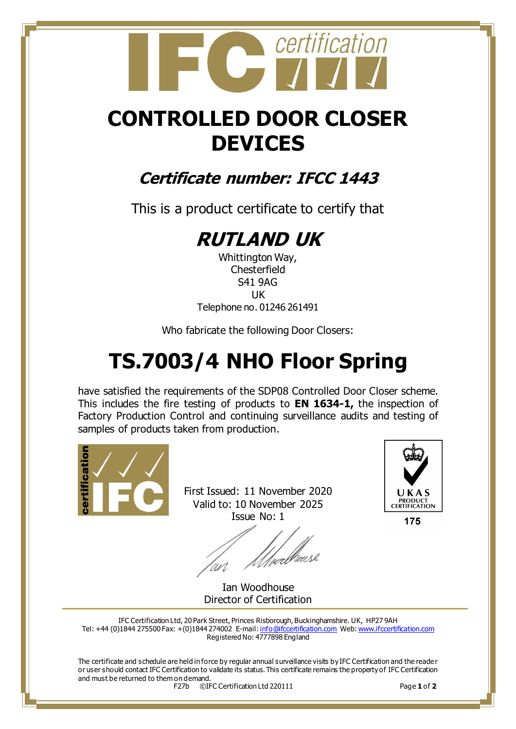

## **CONTROLLED DOOR CLOSER DEVICES**

### **Certificate number: IFCC 1443**

This is a product certificate to certify that

## **RUTLAND UK**

Whittington Way, **Chesterfield** S41 9AG UK Telephone no. 01246 261491

Who fabricate the following Door Closers:

# **TS.7003/4 NHO Floor Spring**

have satisfied the requirements of the SDP08 Controlled Door Closer scheme. This includes the fire testing of products to **EN 1634-1,** the inspection of Factory Production Control and continuing surveillance audits and testing of samples of products taken from production.



First Issued: 11 November 2020 Valid to: 10 November 2025 Issue No: 1

/<sub>wee</sub>l/heuse



175

Ian Woodhouse Director of Certification

IFC Certification Ltd, 20 Park Street, Princes Risborough, Buckinghamshire. UK, HP27 9AH Tel: +44 (0)1844 275500 Fax: +(0)1844 274002 E-mail[: info@ifccertification.com](mailto:info@ifccertification.com) Web[: www.ifccertification.com](http://www.ifccertification.com/) Registered No: 4777898 England

The certificate and schedule are held in force by regular annual surveillance visits by IFC Certification and the reade r or user should contact IFC Certification to validate its status. This certificate remains the property of IFC Certification and must be returned to them on demand.

F27b ©IFC Certification Ltd 220111 Page **1** of **2**